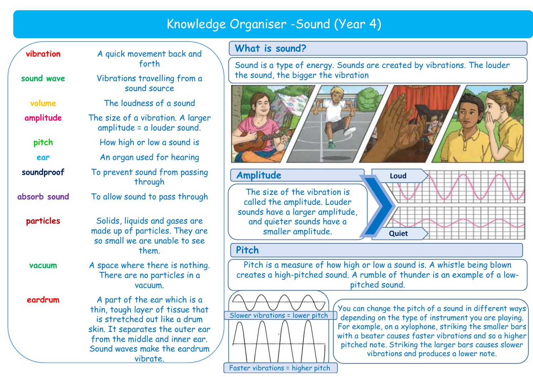|               |                                                                                                                                                                                                                    | Knowledge Organiser - Sound (Yed                                                                     |  |  |  |
|---------------|--------------------------------------------------------------------------------------------------------------------------------------------------------------------------------------------------------------------|------------------------------------------------------------------------------------------------------|--|--|--|
| vibration     | A quick movement back and<br>forth                                                                                                                                                                                 | What is sound?                                                                                       |  |  |  |
|               |                                                                                                                                                                                                                    | Sound is a type of energy. Soun                                                                      |  |  |  |
| sound wave    | Vibrations travelling from a<br>sound source                                                                                                                                                                       | the sound, the bigger the vibrat                                                                     |  |  |  |
| volume        | The loudness of a sound                                                                                                                                                                                            |                                                                                                      |  |  |  |
| amplitude     | The size of a vibration. A larger<br>amplitude = a louder sound.                                                                                                                                                   |                                                                                                      |  |  |  |
| pitch         | How high or low a sound is                                                                                                                                                                                         |                                                                                                      |  |  |  |
| ear           | An organ used for hearing                                                                                                                                                                                          |                                                                                                      |  |  |  |
| soundproof    | To prevent sound from passing<br>through                                                                                                                                                                           | Amplitude                                                                                            |  |  |  |
| absorb sound  | To allow sound to pass through                                                                                                                                                                                     | The size of the vibration is<br>called the amplitude. Louder                                         |  |  |  |
| particles     | Solids, liquids and gases are<br>made up of particles. They are<br>so small we are unable to see<br>them.                                                                                                          | sounds have a larger amplitude<br>and quieter sounds have a<br>smaller amplitude.                    |  |  |  |
|               |                                                                                                                                                                                                                    | Pitch                                                                                                |  |  |  |
| <b>vacuum</b> | A space where there is nothing.<br>There are no particles in a<br>vacuum.                                                                                                                                          | Pitch is a measure of how hig<br>creates a high-pitched sound. A                                     |  |  |  |
| eardrum       | A part of the ear which is a<br>thin, tough layer of tissue that<br>is stretched out like a drum<br>skin. It separates the outer ear<br>from the middle and inner ear.<br>Sound waves make the eardrum<br>vibrate. | A. <i>.</i><br><br><b>You</b> c<br>Slower vibrations = lower pitch<br>depe<br>For e<br>with<br>pitcl |  |  |  |

# What is sound?

Knowledge Organiser -Sound (Year 4)<br>back and **What is sound?**<br>Sound is a type of energy. Sounds are created by vibrations. The louder forth  $\setminus$   $\mid$  Sound is a type of energy. Sounds are created by vibrations. The louder  $\mid$ the sound, the bigger the vibration





# Pitch

There are no particles in a creates a high-pitched sound. A rumble of thunder is an example of a low-Pitch is a measure of how high or low a sound is. A whistle being blown pitched sound.



You can change the pitch of a sound in different ways depending on the type of instrument you are playing. For example, on a xylophone, striking the smaller bars with a beater causes faster vibrations and so a higher pitched note. Striking the larger bars causes slower vibrations and produces a lower note.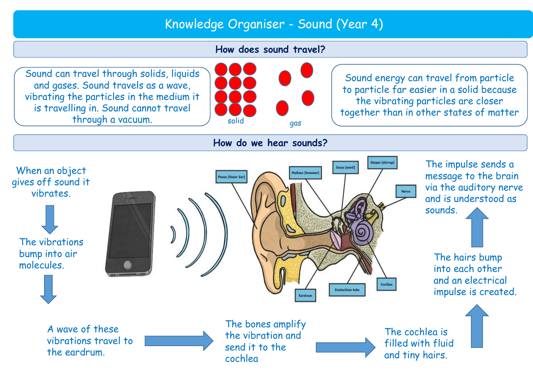# Knowledge Organiser - Sound (Year 4) Knowledge Organiser - Sound (Year 4)<br>How does sound travel?

# How does sound travel?

Sound can travel through solids, liquids and gases. Sound travels as a wave, vibrating the particles in the medium it is travelling in. Sound cannot travel through a vacuum.



Sound energy can travel from particle to particle far easier in a solid because the vibrating particles are closer together than in other states of matter solid



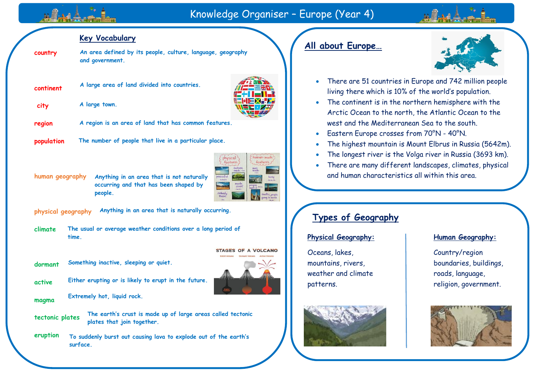# Knowledge Organiser – Europe (Year 4)

## **Key Vocabulary**

**country An area defined by its people, culture, language, geography and government.**

into countries.

| continent |  |  |  |  | A large area of land divided |
|-----------|--|--|--|--|------------------------------|
|-----------|--|--|--|--|------------------------------|

**city A large town.**

**region A region is an area of land that has common features.**

**population The number of people that live in a particular place.**





**physical geography Anything in an area that is naturally occurring.**

**climate The usual or average weather conditions over a long period of time.**

**dormant Something inactive, sleeping or quiet.**



**active Either erupting or is likely to erupt in the future.**

**Extremely hot, liquid rock.**

**tectonic plates**

**magma**

**The earth's crust is made up of large areas called tectonic plates that join together.**

**eruption To suddenly burst out causing lava to explode out of the earth's surface.**

# **All about Europe…**



- There are 51 countries in Europe and 742 million people living there which is 10% of the world's population.
- The continent is in the northern hemisphere with the Arctic Ocean to the north, the Atlantic Ocean to the west and the Mediterranean Sea to the south.
- Eastern Europe crosses from 70°N 40°N.
- The highest mountain is Mount Elbrus in Russia (5642m).
- The longest river is the Volga river in Russia (3693 km).
- There are many different landscapes, climates, physical and human characteristics all within this area.

# **Types of Geography**

## **Physical Geography:**

Oceans, lakes, mountains, rivers, weather and climate patterns.



## **Human Geography:**

Country/region boundaries, buildings, roads, language, religion, government.